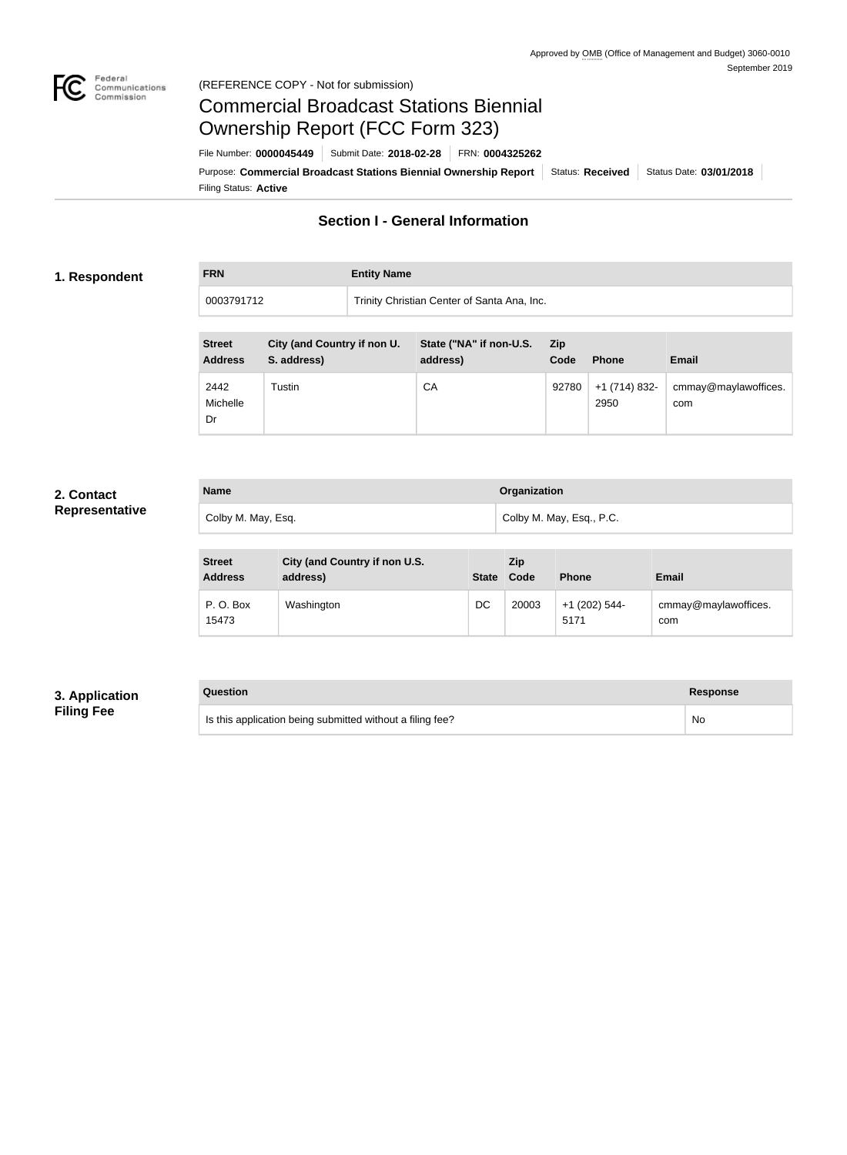

#### Federal<br>Communications<br>Commission (REFERENCE COPY - Not for submission)

# Commercial Broadcast Stations Biennial Ownership Report (FCC Form 323)

**FRN Entity Name**

Filing Status: **Active** Purpose: Commercial Broadcast Stations Biennial Ownership Report Status: Received Status Date: 03/01/2018 File Number: **0000045449** Submit Date: **2018-02-28** FRN: **0004325262**

# **Section I - General Information**

#### **1. Respondent**

0003791712 Trinity Christian Center of Santa Ana, Inc.

| <b>Street</b><br><b>Address</b> | City (and Country if non U.<br>S. address) | State ("NA" if non-U.S.<br>address) | <b>Zip</b><br>Code | <b>Phone</b>          | <b>Email</b>                |
|---------------------------------|--------------------------------------------|-------------------------------------|--------------------|-----------------------|-----------------------------|
| 2442<br>Michelle<br>Dr          | Tustin                                     | СA                                  | 92780              | $+1(714)832-$<br>2950 | cmmay@maylawoffices.<br>com |

### **2. Contact Representative**

| <b>Name</b>        | Organization             |
|--------------------|--------------------------|
| Colby M. May, Esq. | Colby M. May, Esq., P.C. |

| <b>Street</b><br><b>Address</b> | City (and Country if non U.S.<br>address) | State Code | <b>Zip</b> | <b>Phone</b>            | <b>Email</b>                |
|---------------------------------|-------------------------------------------|------------|------------|-------------------------|-----------------------------|
| P.O. Box<br>15473               | Washington                                | DC         | 20003      | $+1$ (202) 544-<br>5171 | cmmay@maylawoffices.<br>com |

### **3. Application Filing Fee**

### **Question Response**

Is this application being submitted without a filing fee? No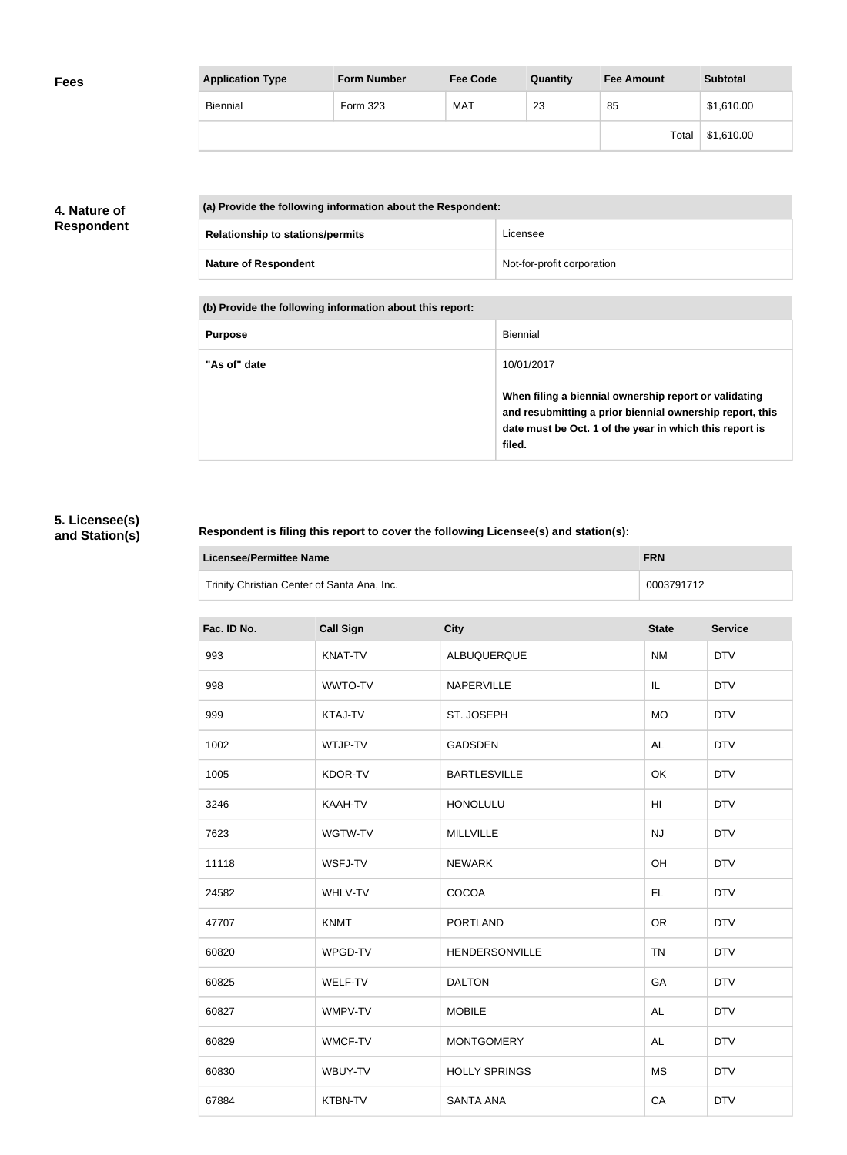| <b>Application Type</b> | <b>Form Number</b> | <b>Fee Code</b> | Quantity | <b>Fee Amount</b> | <b>Subtotal</b> |
|-------------------------|--------------------|-----------------|----------|-------------------|-----------------|
| <b>Biennial</b>         | Form 323           | <b>MAT</b>      | 23       | 85                | \$1,610.00      |
|                         |                    |                 |          | Total             | \$1,610.00      |

# **4. Nature of Respondent**

| (a) Provide the following information about the Respondent: |                            |  |
|-------------------------------------------------------------|----------------------------|--|
| <b>Relationship to stations/permits</b>                     | Licensee                   |  |
| <b>Nature of Respondent</b>                                 | Not-for-profit corporation |  |

**(b) Provide the following information about this report:**

| <b>Purpose</b> | Biennial                                                                                                                                                                               |
|----------------|----------------------------------------------------------------------------------------------------------------------------------------------------------------------------------------|
| "As of" date   | 10/01/2017                                                                                                                                                                             |
|                | When filing a biennial ownership report or validating<br>and resubmitting a prior biennial ownership report, this<br>date must be Oct. 1 of the year in which this report is<br>filed. |

# **5. Licensee(s) and Station(s)**

#### **Respondent is filing this report to cover the following Licensee(s) and station(s):**

| Licensee/Permittee Name                     | <b>FRN</b> |
|---------------------------------------------|------------|
| Trinity Christian Center of Santa Ana, Inc. | 0003791712 |

| Fac. ID No. | <b>Call Sign</b> | <b>City</b>          | <b>State</b>    | <b>Service</b> |
|-------------|------------------|----------------------|-----------------|----------------|
| 993         | KNAT-TV          | ALBUQUERQUE          | <b>NM</b>       | <b>DTV</b>     |
| 998         | WWTO-TV          | NAPERVILLE           | IL              | <b>DTV</b>     |
| 999         | KTAJ-TV          | ST. JOSEPH           | <b>MO</b>       | <b>DTV</b>     |
| 1002        | WTJP-TV          | <b>GADSDEN</b>       | <b>AL</b>       | <b>DTV</b>     |
| 1005        | KDOR-TV          | <b>BARTLESVILLE</b>  | OK              | <b>DTV</b>     |
| 3246        | KAAH-TV          | <b>HONOLULU</b>      | H <sub>II</sub> | <b>DTV</b>     |
| 7623        | WGTW-TV          | <b>MILLVILLE</b>     | NJ              | <b>DTV</b>     |
| 11118       | WSFJ-TV          | <b>NEWARK</b>        | OH              | <b>DTV</b>     |
| 24582       | WHLV-TV          | COCOA                | FL.             | <b>DTV</b>     |
| 47707       | <b>KNMT</b>      | <b>PORTLAND</b>      | <b>OR</b>       | <b>DTV</b>     |
| 60820       | WPGD-TV          | HENDERSONVILLE       | <b>TN</b>       | <b>DTV</b>     |
| 60825       | WELF-TV          | <b>DALTON</b>        | GA              | <b>DTV</b>     |
| 60827       | WMPV-TV          | <b>MOBILE</b>        | <b>AL</b>       | <b>DTV</b>     |
| 60829       | WMCF-TV          | <b>MONTGOMERY</b>    | <b>AL</b>       | <b>DTV</b>     |
| 60830       | WBUY-TV          | <b>HOLLY SPRINGS</b> | <b>MS</b>       | <b>DTV</b>     |
| 67884       | KTBN-TV          | <b>SANTA ANA</b>     | CA              | <b>DTV</b>     |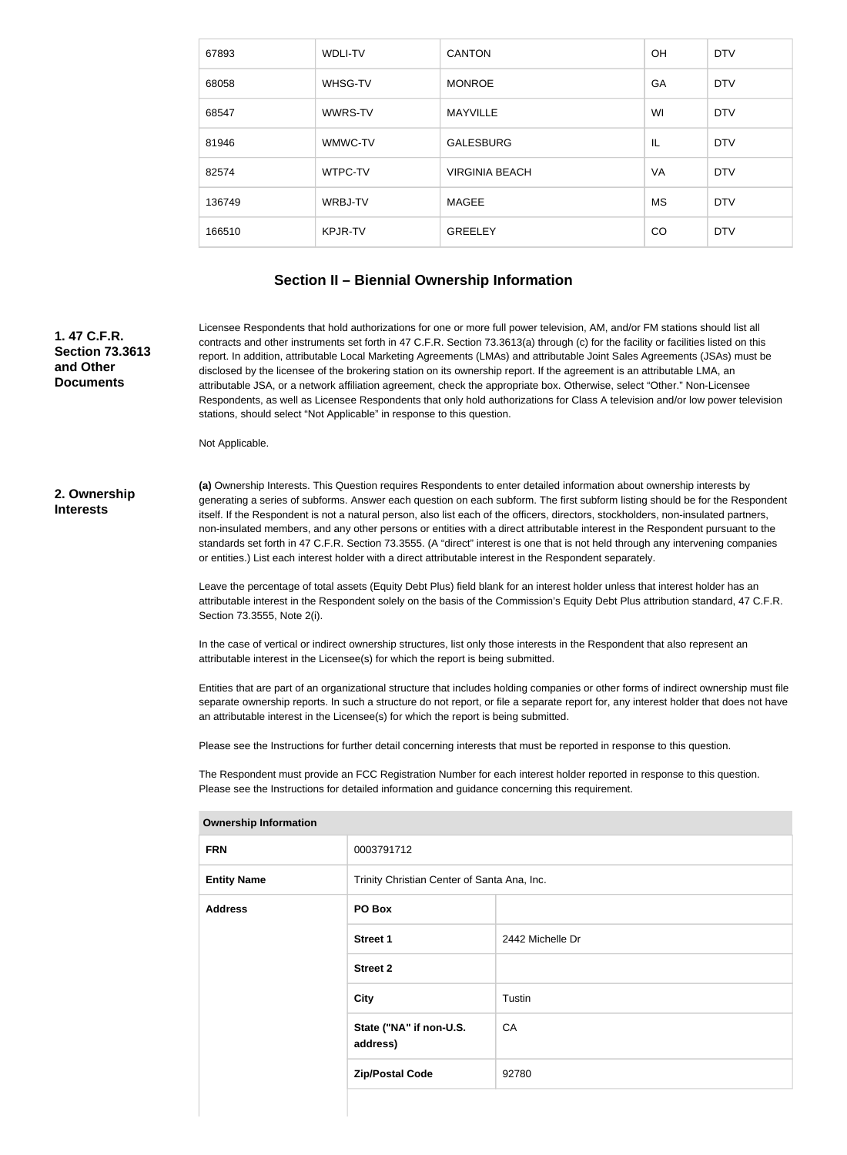| 67893  | <b>WDLI-TV</b> | <b>CANTON</b>         | <b>OH</b> | <b>DTV</b> |
|--------|----------------|-----------------------|-----------|------------|
| 68058  | WHSG-TV        | <b>MONROE</b>         | GA        | <b>DTV</b> |
| 68547  | WWRS-TV        | <b>MAYVILLE</b>       | WI        | <b>DTV</b> |
| 81946  | WMWC-TV        | <b>GALESBURG</b>      | IL        | <b>DTV</b> |
| 82574  | WTPC-TV        | <b>VIRGINIA BEACH</b> | VA        | <b>DTV</b> |
| 136749 | WRBJ-TV        | MAGEE                 | <b>MS</b> | <b>DTV</b> |
| 166510 | <b>KPJR-TV</b> | <b>GREELEY</b>        | <b>CO</b> | <b>DTV</b> |

### **Section II – Biennial Ownership Information**

**1. 47 C.F.R. Section 73.3613 and Other Documents**

Licensee Respondents that hold authorizations for one or more full power television, AM, and/or FM stations should list all contracts and other instruments set forth in 47 C.F.R. Section 73.3613(a) through (c) for the facility or facilities listed on this report. In addition, attributable Local Marketing Agreements (LMAs) and attributable Joint Sales Agreements (JSAs) must be disclosed by the licensee of the brokering station on its ownership report. If the agreement is an attributable LMA, an attributable JSA, or a network affiliation agreement, check the appropriate box. Otherwise, select "Other." Non-Licensee Respondents, as well as Licensee Respondents that only hold authorizations for Class A television and/or low power television stations, should select "Not Applicable" in response to this question.

Not Applicable.

#### **2. Ownership Interests**

**(a)** Ownership Interests. This Question requires Respondents to enter detailed information about ownership interests by generating a series of subforms. Answer each question on each subform. The first subform listing should be for the Respondent itself. If the Respondent is not a natural person, also list each of the officers, directors, stockholders, non-insulated partners, non-insulated members, and any other persons or entities with a direct attributable interest in the Respondent pursuant to the standards set forth in 47 C.F.R. Section 73.3555. (A "direct" interest is one that is not held through any intervening companies or entities.) List each interest holder with a direct attributable interest in the Respondent separately.

Leave the percentage of total assets (Equity Debt Plus) field blank for an interest holder unless that interest holder has an attributable interest in the Respondent solely on the basis of the Commission's Equity Debt Plus attribution standard, 47 C.F.R. Section 73.3555, Note 2(i).

In the case of vertical or indirect ownership structures, list only those interests in the Respondent that also represent an attributable interest in the Licensee(s) for which the report is being submitted.

Entities that are part of an organizational structure that includes holding companies or other forms of indirect ownership must file separate ownership reports. In such a structure do not report, or file a separate report for, any interest holder that does not have an attributable interest in the Licensee(s) for which the report is being submitted.

Please see the Instructions for further detail concerning interests that must be reported in response to this question.

The Respondent must provide an FCC Registration Number for each interest holder reported in response to this question. Please see the Instructions for detailed information and guidance concerning this requirement.

| . .                |                                             |                  |  |
|--------------------|---------------------------------------------|------------------|--|
| <b>FRN</b>         | 0003791712                                  |                  |  |
| <b>Entity Name</b> | Trinity Christian Center of Santa Ana, Inc. |                  |  |
| <b>Address</b>     | PO Box                                      |                  |  |
|                    | <b>Street 1</b>                             | 2442 Michelle Dr |  |
|                    | <b>Street 2</b>                             |                  |  |
|                    | <b>City</b>                                 | Tustin           |  |
|                    | State ("NA" if non-U.S.<br>address)         | CA               |  |
|                    | <b>Zip/Postal Code</b>                      | 92780            |  |
|                    |                                             |                  |  |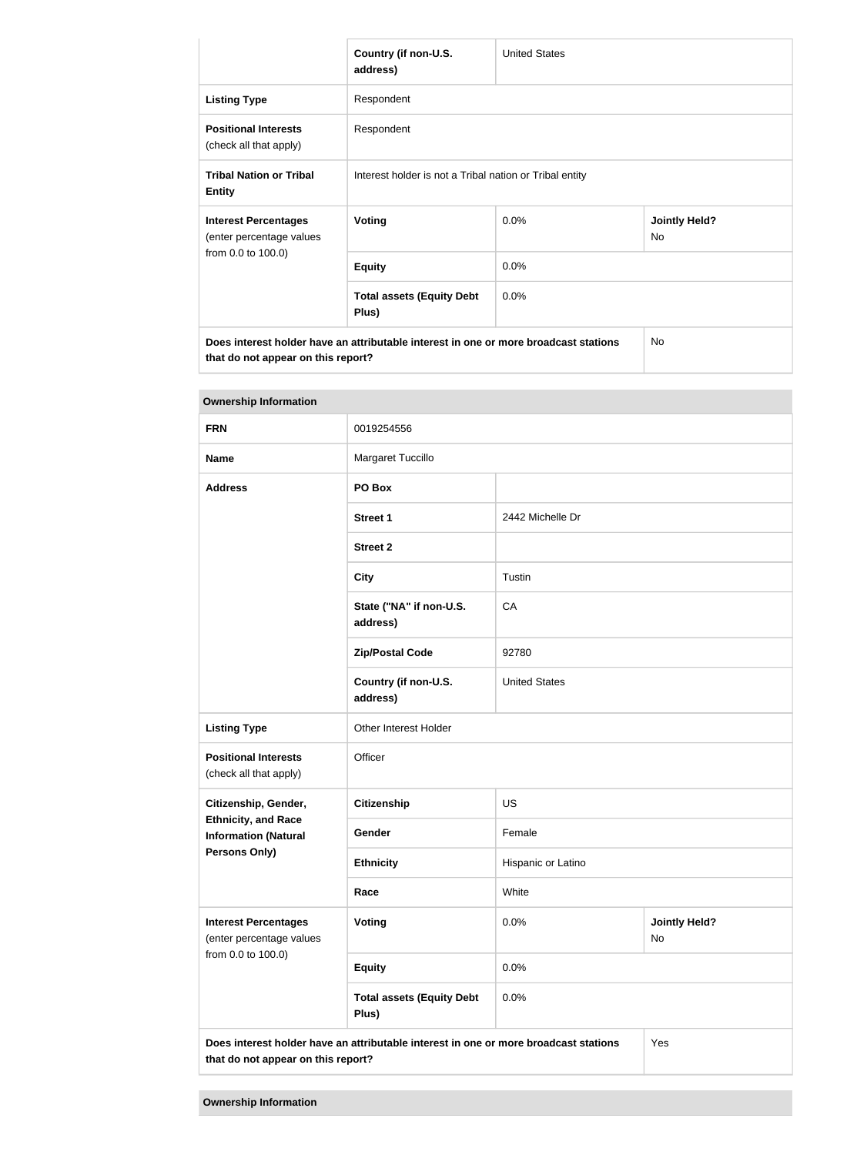|                                                                                      | Country (if non-U.S.<br>address)                        | <b>United States</b> |                            |  |
|--------------------------------------------------------------------------------------|---------------------------------------------------------|----------------------|----------------------------|--|
| <b>Listing Type</b>                                                                  | Respondent                                              |                      |                            |  |
| <b>Positional Interests</b><br>(check all that apply)                                | Respondent                                              |                      |                            |  |
| <b>Tribal Nation or Tribal</b><br><b>Entity</b>                                      | Interest holder is not a Tribal nation or Tribal entity |                      |                            |  |
| <b>Interest Percentages</b><br>(enter percentage values                              | <b>Voting</b>                                           | 0.0%                 | <b>Jointly Held?</b><br>No |  |
| from 0.0 to 100.0)                                                                   | <b>Equity</b>                                           | 0.0%                 |                            |  |
|                                                                                      | <b>Total assets (Equity Debt</b><br>Plus)               | 0.0%                 |                            |  |
| Does interest holder have an attributable interest in one or more broadcast stations |                                                         |                      | <b>No</b>                  |  |

**that do not appear on this report?**

| <b>Ownership Information</b>                                                                                                      |                                           |                      |                            |
|-----------------------------------------------------------------------------------------------------------------------------------|-------------------------------------------|----------------------|----------------------------|
| <b>FRN</b>                                                                                                                        | 0019254556                                |                      |                            |
| <b>Name</b>                                                                                                                       | Margaret Tuccillo                         |                      |                            |
| <b>Address</b>                                                                                                                    | PO Box                                    |                      |                            |
|                                                                                                                                   | <b>Street 1</b>                           | 2442 Michelle Dr     |                            |
|                                                                                                                                   | <b>Street 2</b>                           |                      |                            |
|                                                                                                                                   | <b>City</b>                               | Tustin               |                            |
|                                                                                                                                   | State ("NA" if non-U.S.<br>address)       | CA                   |                            |
|                                                                                                                                   | <b>Zip/Postal Code</b>                    | 92780                |                            |
|                                                                                                                                   | Country (if non-U.S.<br>address)          | <b>United States</b> |                            |
| <b>Listing Type</b>                                                                                                               | Other Interest Holder                     |                      |                            |
| <b>Positional Interests</b><br>(check all that apply)                                                                             | Officer                                   |                      |                            |
| Citizenship, Gender,                                                                                                              | Citizenship                               | <b>US</b>            |                            |
| <b>Ethnicity, and Race</b><br><b>Information (Natural</b>                                                                         | Gender                                    | Female               |                            |
| <b>Persons Only)</b>                                                                                                              | <b>Ethnicity</b>                          | Hispanic or Latino   |                            |
|                                                                                                                                   | Race                                      | White                |                            |
| <b>Interest Percentages</b><br>(enter percentage values<br>from 0.0 to 100.0)                                                     | Voting                                    | 0.0%                 | <b>Jointly Held?</b><br>No |
|                                                                                                                                   | <b>Equity</b>                             | 0.0%                 |                            |
|                                                                                                                                   | <b>Total assets (Equity Debt</b><br>Plus) | 0.0%                 |                            |
| Does interest holder have an attributable interest in one or more broadcast stations<br>Yes<br>that do not appear on this report? |                                           |                      |                            |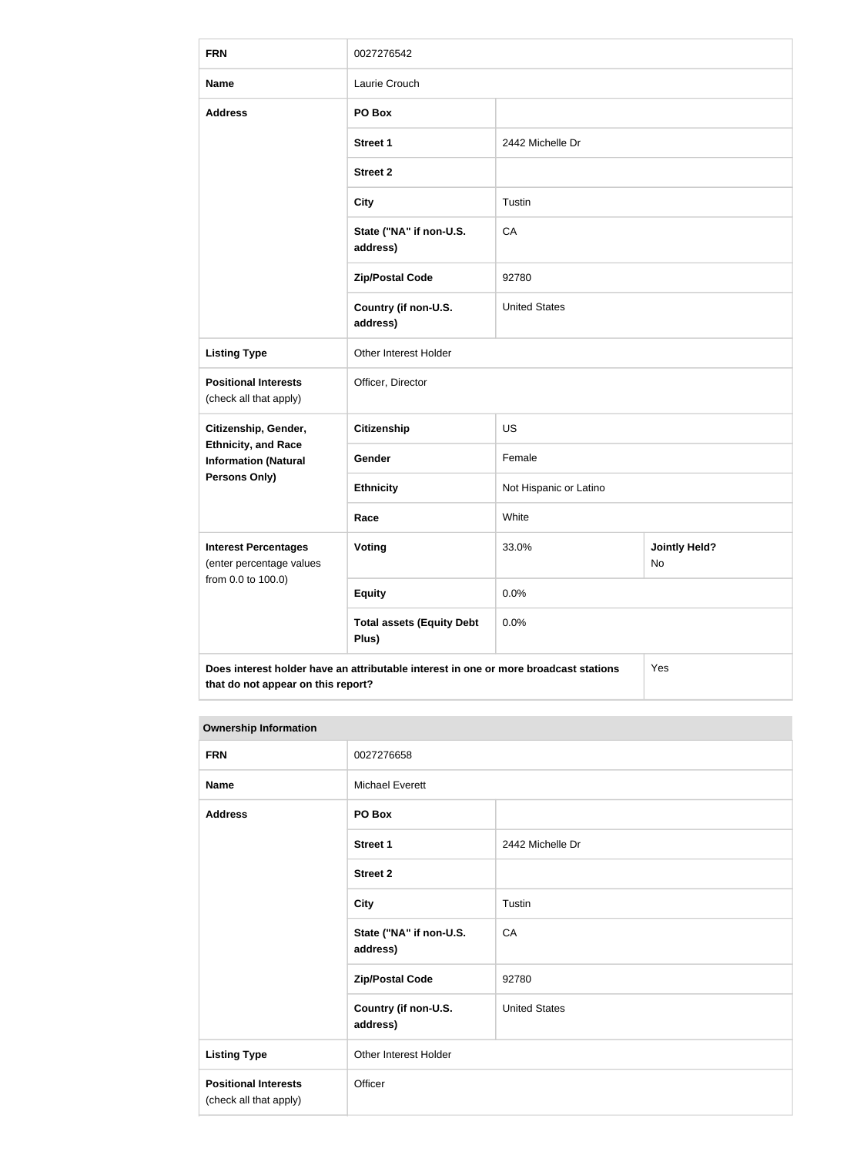| <b>FRN</b>                                                                    | 0027276542                                                                           |                        |                            |
|-------------------------------------------------------------------------------|--------------------------------------------------------------------------------------|------------------------|----------------------------|
| <b>Name</b>                                                                   | Laurie Crouch                                                                        |                        |                            |
| <b>Address</b>                                                                | PO Box                                                                               |                        |                            |
|                                                                               | <b>Street 1</b>                                                                      | 2442 Michelle Dr       |                            |
|                                                                               | <b>Street 2</b>                                                                      |                        |                            |
|                                                                               | <b>City</b>                                                                          | Tustin                 |                            |
|                                                                               | State ("NA" if non-U.S.<br>address)                                                  | CA                     |                            |
|                                                                               | <b>Zip/Postal Code</b>                                                               | 92780                  |                            |
|                                                                               | Country (if non-U.S.<br>address)                                                     | <b>United States</b>   |                            |
| <b>Listing Type</b>                                                           | Other Interest Holder                                                                |                        |                            |
| <b>Positional Interests</b><br>(check all that apply)                         | Officer, Director                                                                    |                        |                            |
| Citizenship, Gender,                                                          | <b>Citizenship</b>                                                                   | <b>US</b>              |                            |
| <b>Ethnicity, and Race</b><br><b>Information (Natural</b>                     | Gender                                                                               | Female                 |                            |
| <b>Persons Only)</b>                                                          | <b>Ethnicity</b>                                                                     | Not Hispanic or Latino |                            |
|                                                                               | Race                                                                                 | White                  |                            |
| <b>Interest Percentages</b><br>(enter percentage values<br>from 0.0 to 100.0) | Voting                                                                               | 33.0%                  | <b>Jointly Held?</b><br>No |
|                                                                               | <b>Equity</b>                                                                        | 0.0%                   |                            |
|                                                                               | <b>Total assets (Equity Debt</b><br>Plus)                                            | 0.0%                   |                            |
| that do not appear on this report?                                            | Does interest holder have an attributable interest in one or more broadcast stations |                        | Yes                        |

| <b>FRN</b>                                            | 0027276658                          |                      |
|-------------------------------------------------------|-------------------------------------|----------------------|
| <b>Name</b>                                           | <b>Michael Everett</b>              |                      |
| <b>Address</b>                                        | PO Box                              |                      |
|                                                       | <b>Street 1</b>                     | 2442 Michelle Dr     |
|                                                       | <b>Street 2</b>                     |                      |
|                                                       | <b>City</b>                         | Tustin               |
|                                                       | State ("NA" if non-U.S.<br>address) | CA                   |
|                                                       | <b>Zip/Postal Code</b>              | 92780                |
|                                                       | Country (if non-U.S.<br>address)    | <b>United States</b> |
| <b>Listing Type</b>                                   | Other Interest Holder               |                      |
| <b>Positional Interests</b><br>(check all that apply) | Officer                             |                      |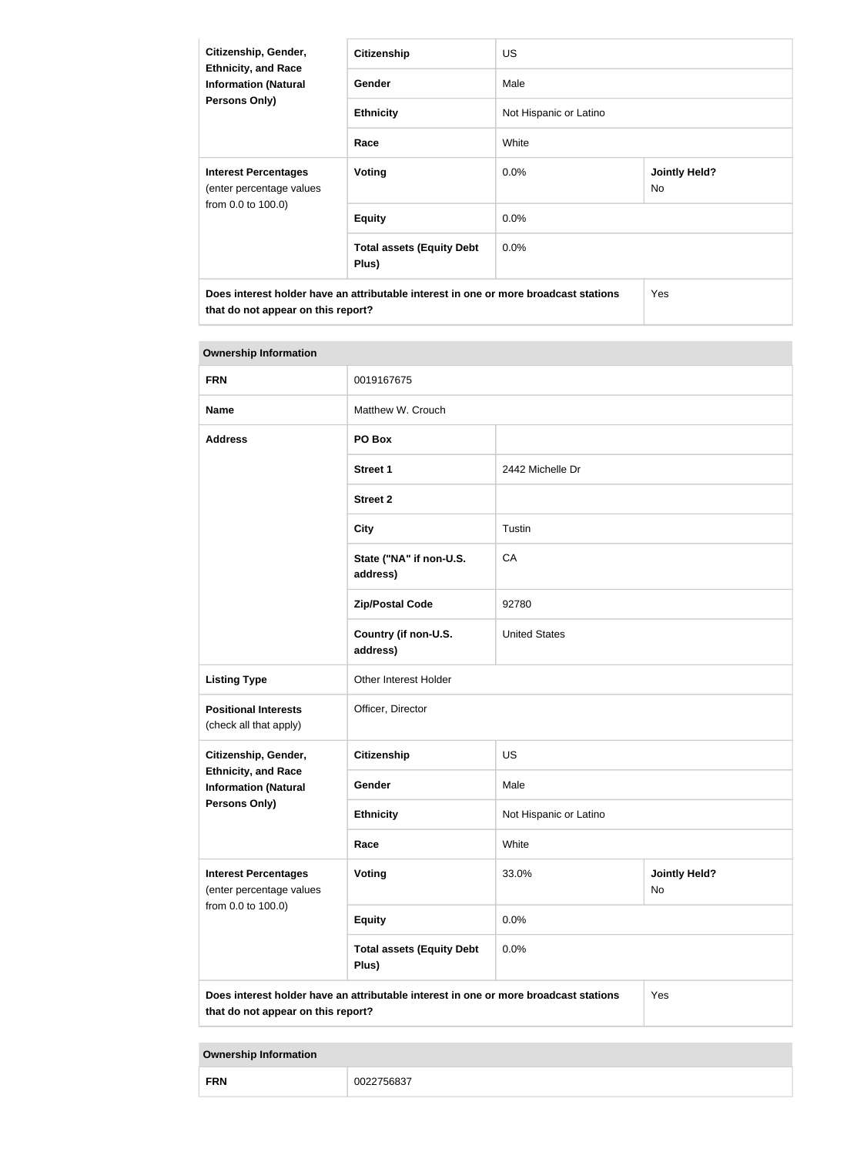| Citizenship, Gender,<br><b>Ethnicity, and Race</b><br><b>Information (Natural</b><br>Persons Only)                         | <b>Citizenship</b>                        | <b>US</b>              |                                   |
|----------------------------------------------------------------------------------------------------------------------------|-------------------------------------------|------------------------|-----------------------------------|
|                                                                                                                            | Gender                                    | Male                   |                                   |
|                                                                                                                            | <b>Ethnicity</b>                          | Not Hispanic or Latino |                                   |
|                                                                                                                            | Race                                      | White                  |                                   |
| <b>Interest Percentages</b><br>(enter percentage values                                                                    | Voting                                    | $0.0\%$                | <b>Jointly Held?</b><br><b>No</b> |
| from 0.0 to 100.0)                                                                                                         | <b>Equity</b>                             | $0.0\%$                |                                   |
|                                                                                                                            | <b>Total assets (Equity Debt</b><br>Plus) | $0.0\%$                |                                   |
| Does interest holder have an attributable interest in one or more broadcast stations<br>that do not appear on this report? |                                           |                        | <b>Yes</b>                        |

| <b>Ownership Information</b>                                                  |                                                                                      |                        |                                   |
|-------------------------------------------------------------------------------|--------------------------------------------------------------------------------------|------------------------|-----------------------------------|
| <b>FRN</b>                                                                    | 0019167675                                                                           |                        |                                   |
| <b>Name</b>                                                                   | Matthew W. Crouch                                                                    |                        |                                   |
| <b>Address</b>                                                                | PO Box                                                                               |                        |                                   |
|                                                                               | <b>Street 1</b>                                                                      | 2442 Michelle Dr       |                                   |
|                                                                               | <b>Street 2</b>                                                                      |                        |                                   |
|                                                                               | <b>City</b>                                                                          | Tustin                 |                                   |
|                                                                               | State ("NA" if non-U.S.<br>address)                                                  | CA                     |                                   |
|                                                                               | <b>Zip/Postal Code</b>                                                               | 92780                  |                                   |
|                                                                               | Country (if non-U.S.<br>address)                                                     | <b>United States</b>   |                                   |
| <b>Listing Type</b>                                                           | Other Interest Holder                                                                |                        |                                   |
| <b>Positional Interests</b><br>(check all that apply)                         | Officer, Director                                                                    |                        |                                   |
| Citizenship, Gender,                                                          | Citizenship                                                                          | <b>US</b>              |                                   |
| <b>Ethnicity, and Race</b><br><b>Information (Natural</b>                     | Gender                                                                               | Male                   |                                   |
| <b>Persons Only)</b>                                                          | <b>Ethnicity</b>                                                                     | Not Hispanic or Latino |                                   |
|                                                                               | Race                                                                                 | White                  |                                   |
| <b>Interest Percentages</b><br>(enter percentage values<br>from 0.0 to 100.0) | <b>Voting</b>                                                                        | 33.0%                  | <b>Jointly Held?</b><br><b>No</b> |
|                                                                               | <b>Equity</b>                                                                        | 0.0%                   |                                   |
|                                                                               | <b>Total assets (Equity Debt</b><br>Plus)                                            | 0.0%                   |                                   |
| that do not appear on this report?                                            | Does interest holder have an attributable interest in one or more broadcast stations |                        | Yes                               |

| <b>FRN</b> | 275002<br>nns<br>∵⁄5683,<br>. |
|------------|-------------------------------|
|------------|-------------------------------|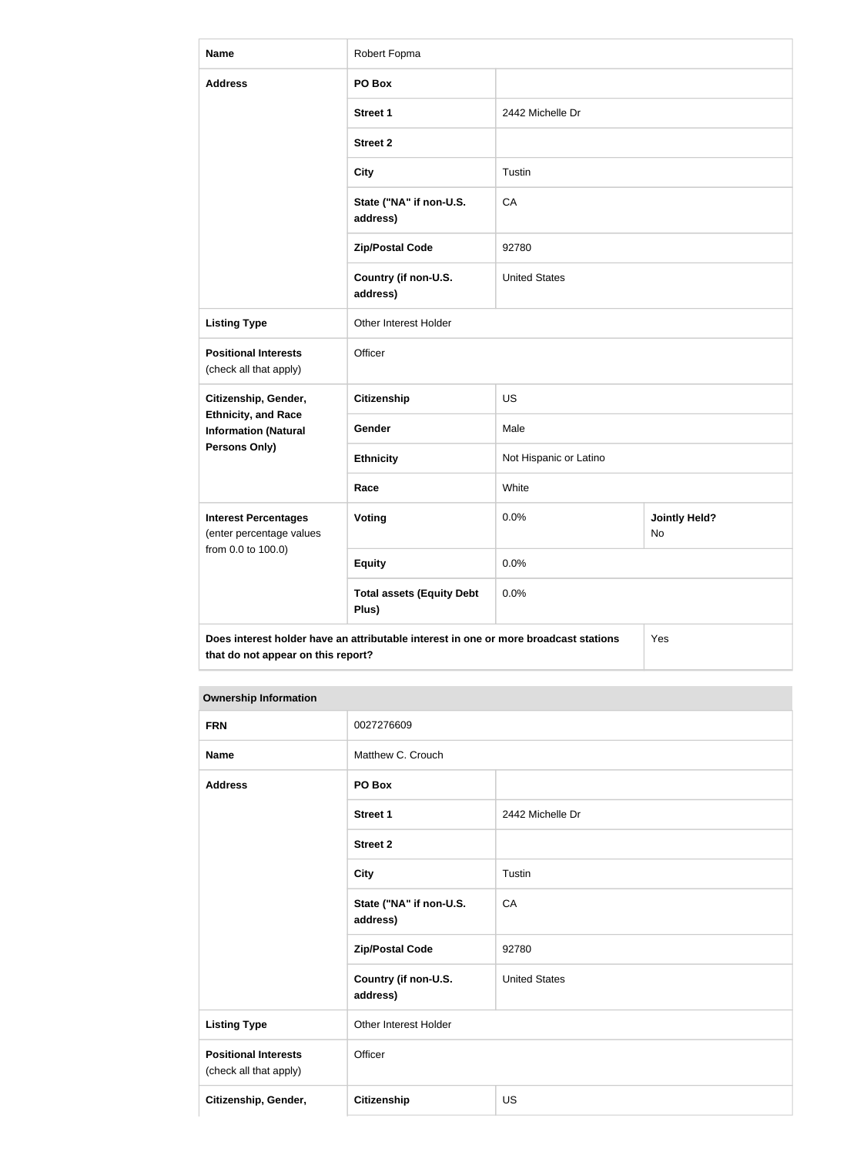| <b>Name</b>                                                                   | Robert Fopma                                                                         |                        |                            |
|-------------------------------------------------------------------------------|--------------------------------------------------------------------------------------|------------------------|----------------------------|
| <b>Address</b>                                                                | PO Box                                                                               |                        |                            |
|                                                                               | <b>Street 1</b>                                                                      | 2442 Michelle Dr       |                            |
|                                                                               | <b>Street 2</b>                                                                      |                        |                            |
|                                                                               | <b>City</b>                                                                          | Tustin                 |                            |
|                                                                               | State ("NA" if non-U.S.<br>address)                                                  | CA                     |                            |
|                                                                               | <b>Zip/Postal Code</b>                                                               | 92780                  |                            |
|                                                                               | Country (if non-U.S.<br>address)                                                     | <b>United States</b>   |                            |
| <b>Listing Type</b>                                                           | Other Interest Holder                                                                |                        |                            |
| <b>Positional Interests</b><br>(check all that apply)                         | Officer                                                                              |                        |                            |
| Citizenship, Gender,                                                          | <b>Citizenship</b>                                                                   | <b>US</b>              |                            |
| <b>Ethnicity, and Race</b><br><b>Information (Natural</b>                     | Gender                                                                               | Male                   |                            |
| <b>Persons Only)</b>                                                          | <b>Ethnicity</b>                                                                     | Not Hispanic or Latino |                            |
|                                                                               | Race                                                                                 | White                  |                            |
| <b>Interest Percentages</b><br>(enter percentage values<br>from 0.0 to 100.0) | <b>Voting</b>                                                                        | 0.0%                   | <b>Jointly Held?</b><br>No |
|                                                                               | <b>Equity</b>                                                                        | 0.0%                   |                            |
|                                                                               | <b>Total assets (Equity Debt</b><br>Plus)                                            | 0.0%                   |                            |
| that do not appear on this report?                                            | Does interest holder have an attributable interest in one or more broadcast stations |                        | Yes                        |

| <b>FRN</b>                                            | 0027276609                          |                      |
|-------------------------------------------------------|-------------------------------------|----------------------|
| <b>Name</b>                                           | Matthew C. Crouch                   |                      |
| <b>Address</b>                                        | PO Box                              |                      |
|                                                       | <b>Street 1</b>                     | 2442 Michelle Dr     |
|                                                       | <b>Street 2</b>                     |                      |
|                                                       | <b>City</b>                         | Tustin               |
|                                                       | State ("NA" if non-U.S.<br>address) | CA                   |
|                                                       | <b>Zip/Postal Code</b>              | 92780                |
|                                                       | Country (if non-U.S.<br>address)    | <b>United States</b> |
| <b>Listing Type</b>                                   | Other Interest Holder               |                      |
| <b>Positional Interests</b><br>(check all that apply) | Officer                             |                      |
| Citizenship, Gender,                                  | Citizenship                         | <b>US</b>            |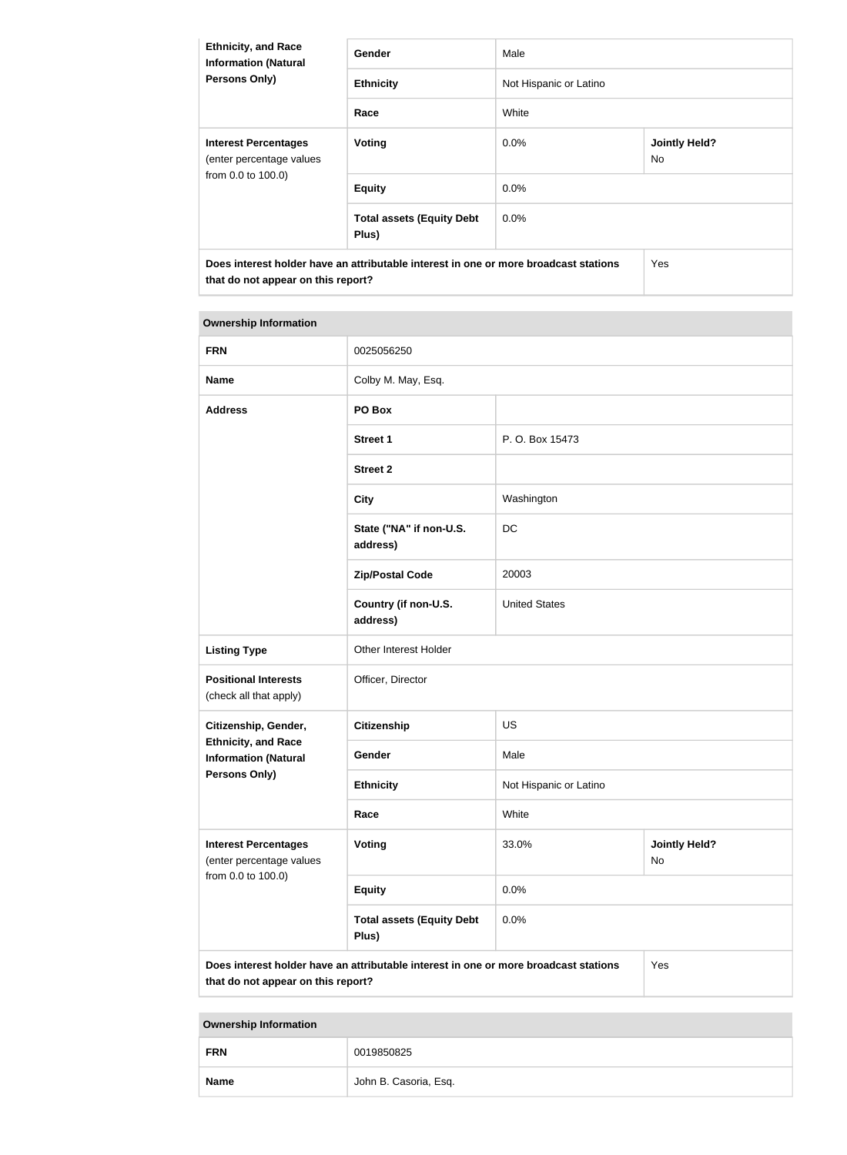| <b>Ethnicity, and Race</b><br><b>Information (Natural</b><br><b>Persons Only)</b>                                          | <b>Gender</b>                             | Male                   |                             |
|----------------------------------------------------------------------------------------------------------------------------|-------------------------------------------|------------------------|-----------------------------|
|                                                                                                                            | <b>Ethnicity</b>                          | Not Hispanic or Latino |                             |
|                                                                                                                            | Race                                      | White                  |                             |
| <b>Interest Percentages</b><br>(enter percentage values<br>from 0.0 to 100.0)                                              | Voting                                    | $0.0\%$                | <b>Jointly Held?</b><br>No. |
|                                                                                                                            | <b>Equity</b>                             | $0.0\%$                |                             |
|                                                                                                                            | <b>Total assets (Equity Debt</b><br>Plus) | $0.0\%$                |                             |
| Does interest holder have an attributable interest in one or more broadcast stations<br>that do not appear on this report? |                                           |                        | Yes                         |

# **Ownership Information FRN** 0025056250 **Name** Colby M. May, Esq. **Address PO Box Street 1** P. O. Box 15473 **Street 2 City** Washington **State ("NA" if non-U.S. address)** DC **Zip/Postal Code** 20003 **Country (if non-U.S. address)** United States **Listing Type Other Interest Holder Positional Interests** (check all that apply) Officer, Director **Citizenship, Gender, Ethnicity, and Race Information (Natural Persons Only) Citizenship** US Gender Male **Ethnicity** Not Hispanic or Latino **Race** White **Interest Percentages** (enter percentage values from 0.0 to 100.0) **Voting 23.0% / Voting 23.0% / Voting 20.000 / Voting 20.000 / Voting 20.000 / Voting 20.000 / Voting 20.000 / Voting 20.000 / Voting 20.000 / Voting 20.000 / Voting 20.000 / Voting 20.000 / Voting 20.000 / Voting 20.000 /** No **Equity** 0.0% **Total assets (Equity Debt Plus)** 0.0% **Does interest holder have an attributable interest in one or more broadcast stations that do not appear on this report?** Yes

| <b>FRN</b>  | 0019850825            |
|-------------|-----------------------|
| <b>Name</b> | John B. Casoria, Esq. |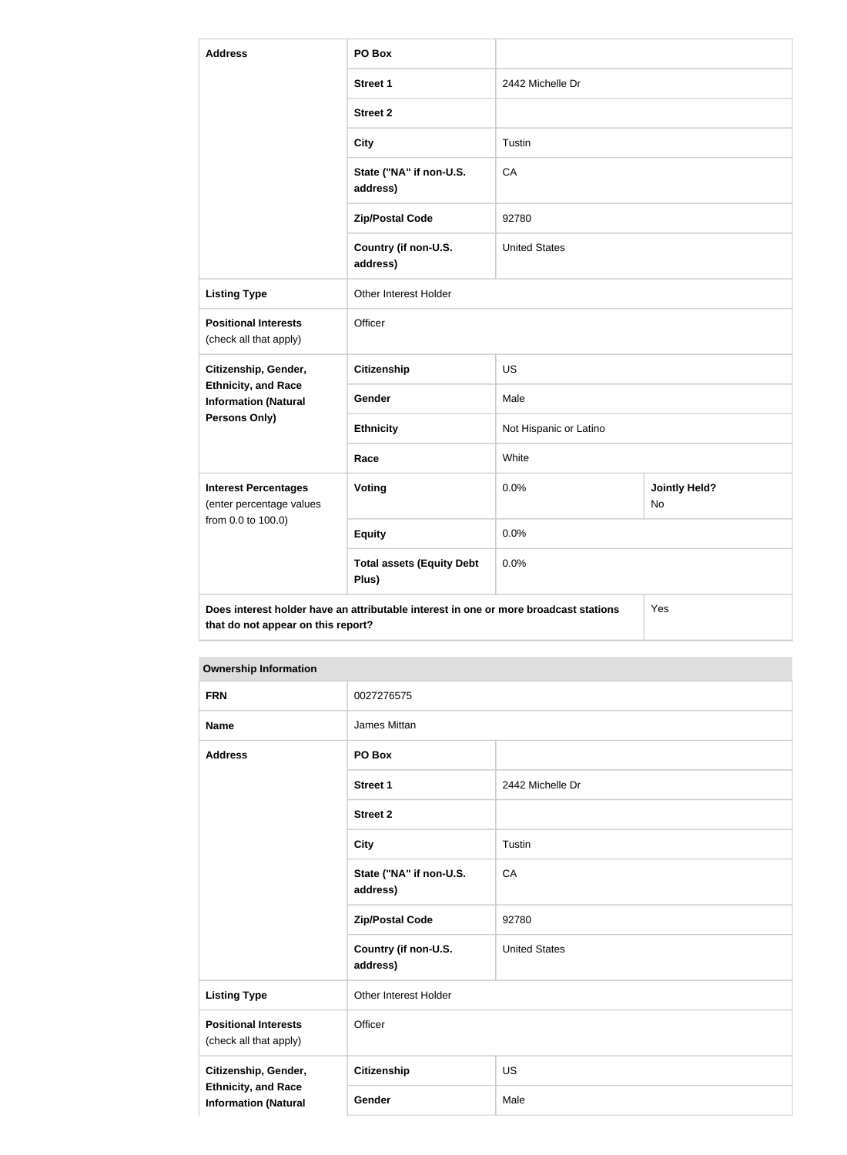| <b>Address</b>                                                                                                                    | PO Box                                    |                        |                            |
|-----------------------------------------------------------------------------------------------------------------------------------|-------------------------------------------|------------------------|----------------------------|
|                                                                                                                                   | <b>Street 1</b>                           | 2442 Michelle Dr       |                            |
|                                                                                                                                   | <b>Street 2</b>                           |                        |                            |
|                                                                                                                                   | <b>City</b>                               | Tustin                 |                            |
|                                                                                                                                   | State ("NA" if non-U.S.<br>address)       | CA                     |                            |
|                                                                                                                                   | <b>Zip/Postal Code</b>                    | 92780                  |                            |
|                                                                                                                                   | Country (if non-U.S.<br>address)          | <b>United States</b>   |                            |
| <b>Listing Type</b>                                                                                                               | Other Interest Holder                     |                        |                            |
| <b>Positional Interests</b><br>(check all that apply)                                                                             | Officer                                   |                        |                            |
| Citizenship, Gender,                                                                                                              | <b>Citizenship</b>                        | <b>US</b>              |                            |
| <b>Ethnicity, and Race</b><br><b>Information (Natural</b>                                                                         | Gender                                    | Male                   |                            |
| Persons Only)                                                                                                                     | <b>Ethnicity</b>                          | Not Hispanic or Latino |                            |
|                                                                                                                                   | Race                                      | White                  |                            |
| <b>Interest Percentages</b><br>(enter percentage values<br>from 0.0 to 100.0)                                                     | Voting                                    | 0.0%                   | <b>Jointly Held?</b><br>No |
|                                                                                                                                   | <b>Equity</b>                             | 0.0%                   |                            |
|                                                                                                                                   | <b>Total assets (Equity Debt</b><br>Plus) | 0.0%                   |                            |
| Does interest holder have an attributable interest in one or more broadcast stations<br>Yes<br>that do not appear on this report? |                                           |                        |                            |

| <b>FRN</b>                                                                        | 0027276575                          |                      |
|-----------------------------------------------------------------------------------|-------------------------------------|----------------------|
| <b>Name</b>                                                                       | James Mittan                        |                      |
| <b>Address</b>                                                                    | PO Box                              |                      |
|                                                                                   | <b>Street 1</b>                     | 2442 Michelle Dr     |
|                                                                                   | <b>Street 2</b>                     |                      |
|                                                                                   | <b>City</b>                         | Tustin               |
|                                                                                   | State ("NA" if non-U.S.<br>address) | CA                   |
|                                                                                   | <b>Zip/Postal Code</b>              | 92780                |
|                                                                                   | Country (if non-U.S.<br>address)    | <b>United States</b> |
| <b>Listing Type</b>                                                               | Other Interest Holder               |                      |
| <b>Positional Interests</b><br>(check all that apply)                             | Officer                             |                      |
| Citizenship, Gender,<br><b>Ethnicity, and Race</b><br><b>Information (Natural</b> | Citizenship                         | <b>US</b>            |
|                                                                                   | Gender                              | Male                 |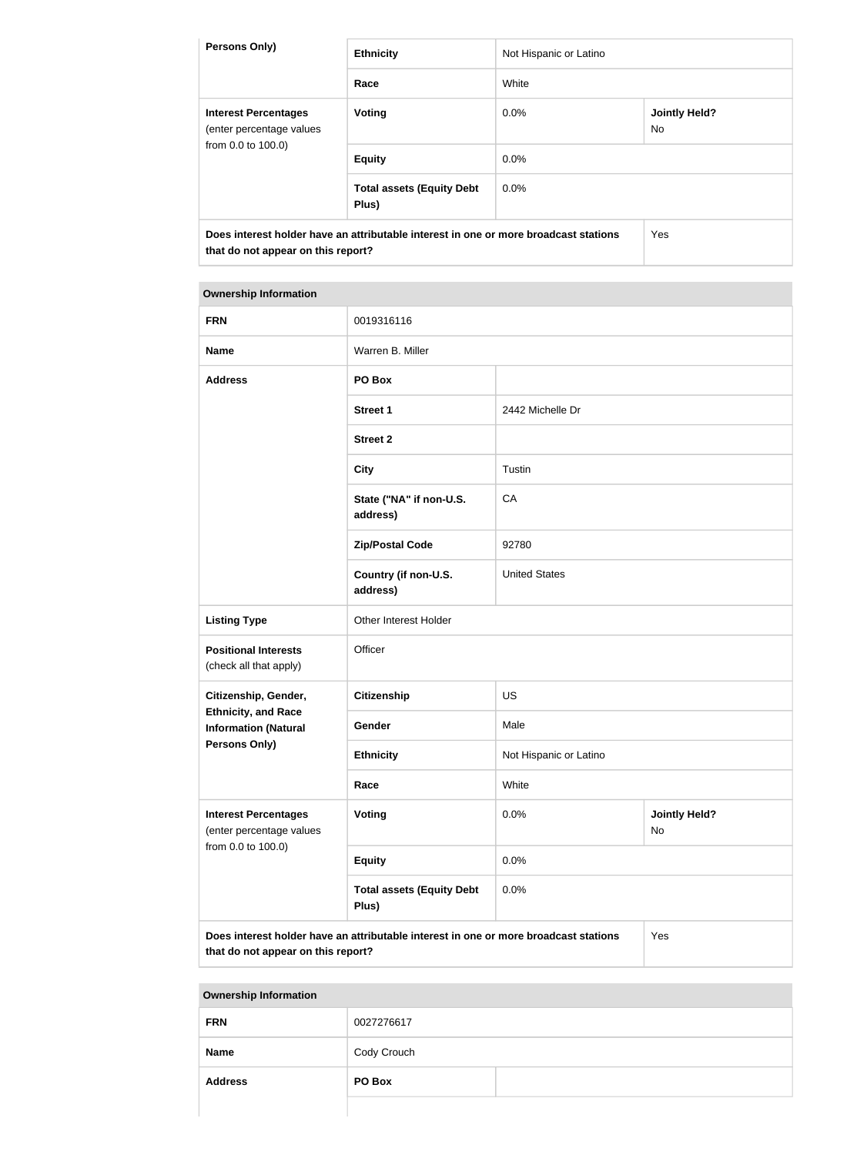| <b>Persons Only)</b>                                                                                                       | <b>Ethnicity</b>                          | Not Hispanic or Latino |                             |  |
|----------------------------------------------------------------------------------------------------------------------------|-------------------------------------------|------------------------|-----------------------------|--|
|                                                                                                                            | Race                                      | White                  |                             |  |
| <b>Interest Percentages</b><br>(enter percentage values<br>from 0.0 to 100.0)                                              | <b>Voting</b>                             | $0.0\%$                | <b>Jointly Held?</b><br>No. |  |
|                                                                                                                            | <b>Equity</b>                             | 0.0%                   |                             |  |
|                                                                                                                            | <b>Total assets (Equity Debt</b><br>Plus) | $0.0\%$                |                             |  |
| Does interest holder have an attributable interest in one or more broadcast stations<br>that do not appear on this report? |                                           | Yes                    |                             |  |

| <b>FRN</b>                                                | 0019316116                                                                           |                        |                            |  |  |
|-----------------------------------------------------------|--------------------------------------------------------------------------------------|------------------------|----------------------------|--|--|
| <b>Name</b>                                               | Warren B. Miller                                                                     |                        |                            |  |  |
| <b>Address</b>                                            | PO Box                                                                               |                        |                            |  |  |
|                                                           | <b>Street 1</b>                                                                      | 2442 Michelle Dr       |                            |  |  |
|                                                           | <b>Street 2</b>                                                                      |                        |                            |  |  |
|                                                           | <b>City</b>                                                                          | Tustin                 |                            |  |  |
|                                                           | State ("NA" if non-U.S.<br>address)                                                  | CA                     |                            |  |  |
|                                                           | <b>Zip/Postal Code</b>                                                               | 92780                  |                            |  |  |
|                                                           | Country (if non-U.S.<br>address)                                                     | <b>United States</b>   |                            |  |  |
| <b>Listing Type</b>                                       | Other Interest Holder                                                                |                        |                            |  |  |
| <b>Positional Interests</b><br>(check all that apply)     | Officer                                                                              |                        |                            |  |  |
| Citizenship, Gender,                                      | <b>Citizenship</b>                                                                   | <b>US</b>              |                            |  |  |
| <b>Ethnicity, and Race</b><br><b>Information (Natural</b> | Gender                                                                               | Male                   |                            |  |  |
| Persons Only)                                             | <b>Ethnicity</b>                                                                     | Not Hispanic or Latino |                            |  |  |
|                                                           | Race                                                                                 | White                  |                            |  |  |
| <b>Interest Percentages</b><br>(enter percentage values   | Voting                                                                               | 0.0%                   | <b>Jointly Held?</b><br>No |  |  |
| from 0.0 to 100.0)                                        | <b>Equity</b>                                                                        | 0.0%                   |                            |  |  |
|                                                           | <b>Total assets (Equity Debt</b><br>Plus)                                            | 0.0%                   |                            |  |  |
|                                                           | Does interest holder have an attributable interest in one or more broadcast stations |                        | Yes                        |  |  |

**that do not appear on this report?**

| <b>Address</b> | PO Box      |  |
|----------------|-------------|--|
| <b>Name</b>    | Cody Crouch |  |
| <b>FRN</b>     | 0027276617  |  |
|                |             |  |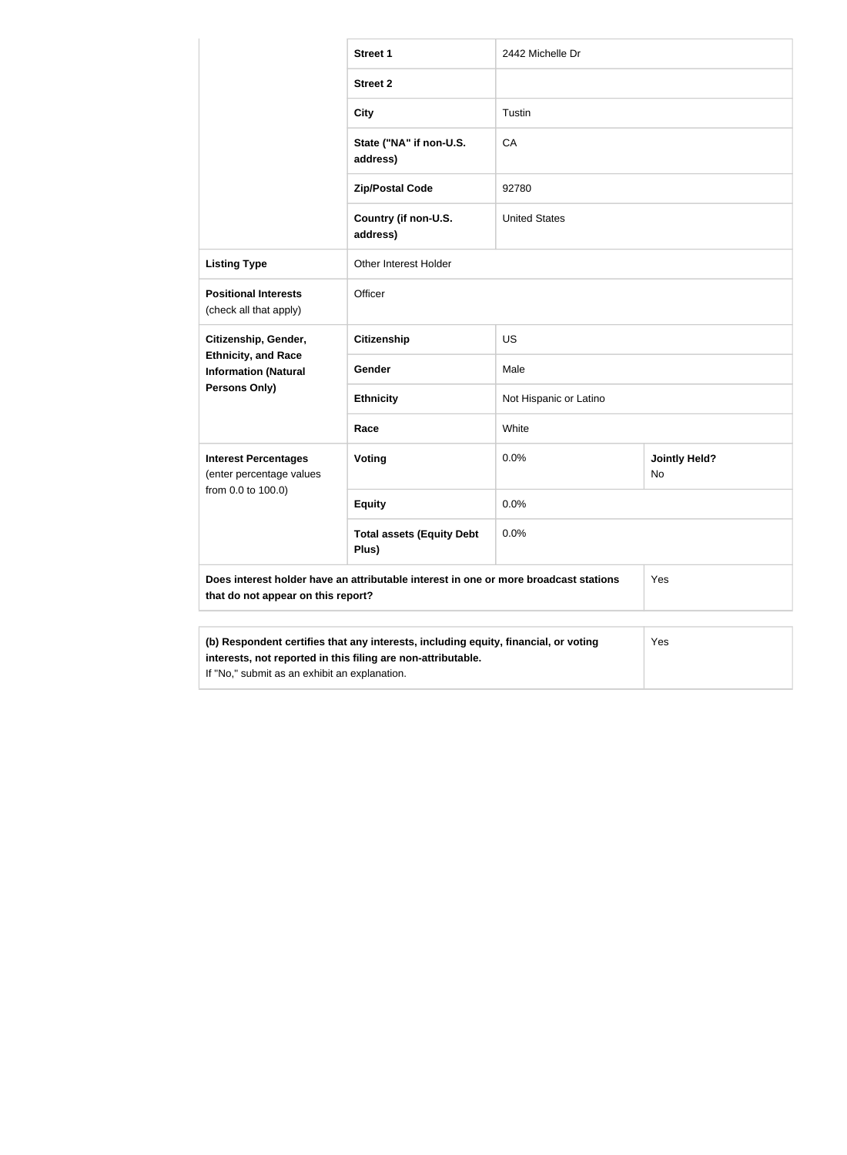|                                                                                                               | <b>Street 1</b>                                                                      | 2442 Michelle Dr       |                            |  |
|---------------------------------------------------------------------------------------------------------------|--------------------------------------------------------------------------------------|------------------------|----------------------------|--|
|                                                                                                               | <b>Street 2</b>                                                                      |                        |                            |  |
|                                                                                                               | <b>City</b>                                                                          | Tustin                 |                            |  |
|                                                                                                               | State ("NA" if non-U.S.<br>address)                                                  | CA                     |                            |  |
|                                                                                                               | <b>Zip/Postal Code</b>                                                               | 92780                  |                            |  |
|                                                                                                               | Country (if non-U.S.<br>address)                                                     | <b>United States</b>   |                            |  |
| <b>Listing Type</b>                                                                                           | <b>Other Interest Holder</b>                                                         |                        |                            |  |
| <b>Positional Interests</b><br>(check all that apply)                                                         | Officer                                                                              |                        |                            |  |
| Citizenship, Gender,                                                                                          | <b>Citizenship</b>                                                                   | <b>US</b>              |                            |  |
| <b>Ethnicity, and Race</b><br><b>Information (Natural</b>                                                     | Gender                                                                               | Male                   |                            |  |
| <b>Persons Only)</b>                                                                                          | <b>Ethnicity</b>                                                                     | Not Hispanic or Latino |                            |  |
|                                                                                                               | Race                                                                                 | White                  |                            |  |
| <b>Interest Percentages</b><br>(enter percentage values                                                       | Voting                                                                               | 0.0%                   | <b>Jointly Held?</b><br>No |  |
| from 0.0 to 100.0)                                                                                            | <b>Equity</b>                                                                        | 0.0%                   |                            |  |
|                                                                                                               | <b>Total assets (Equity Debt</b><br>Plus)                                            | 0.0%                   |                            |  |
| that do not appear on this report?                                                                            | Does interest holder have an attributable interest in one or more broadcast stations |                        | Yes                        |  |
| interests, not reported in this filing are non-attributable.<br>If "No," submit as an exhibit an explanation. | (b) Respondent certifies that any interests, including equity, financial, or voting  |                        | Yes                        |  |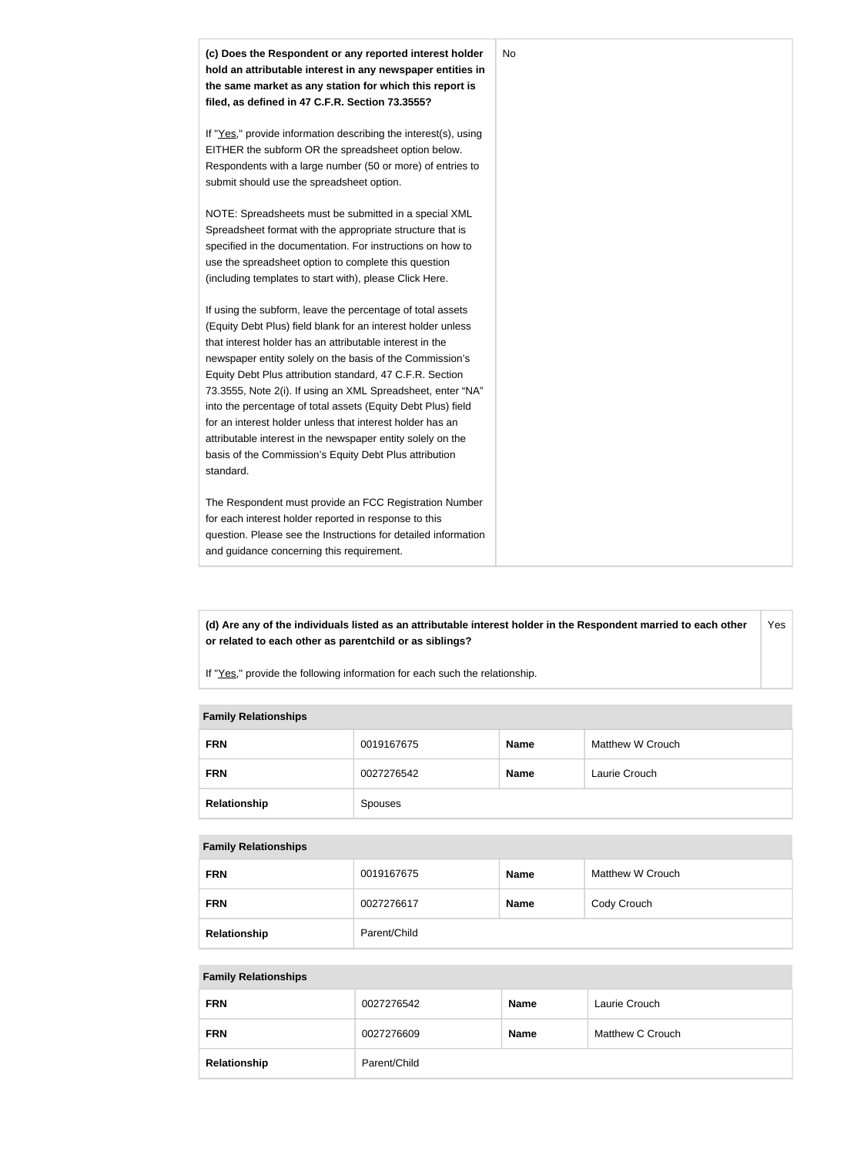

**(d) Are any of the individuals listed as an attributable interest holder in the Respondent married to each other or related to each other as parentchild or as siblings?** Yes

If "Yes," provide the following information for each such the relationship.

#### **Family Relationships**

| <b>FRN</b>   | 0019167675 | <b>Name</b> | Matthew W Crouch |
|--------------|------------|-------------|------------------|
| <b>FRN</b>   | 0027276542 | <b>Name</b> | Laurie Crouch    |
| Relationship | Spouses    |             |                  |

#### **Family Relationships**

| <b>FRN</b>   | 0019167675   | <b>Name</b> | Matthew W Crouch |
|--------------|--------------|-------------|------------------|
| <b>FRN</b>   | 0027276617   | <b>Name</b> | Cody Crouch      |
| Relationship | Parent/Child |             |                  |

#### **Family Relationships**

| <b>FRN</b>   | 0027276542   | <b>Name</b> | Laurie Crouch    |
|--------------|--------------|-------------|------------------|
| <b>FRN</b>   | 0027276609   | <b>Name</b> | Matthew C Crouch |
| Relationship | Parent/Child |             |                  |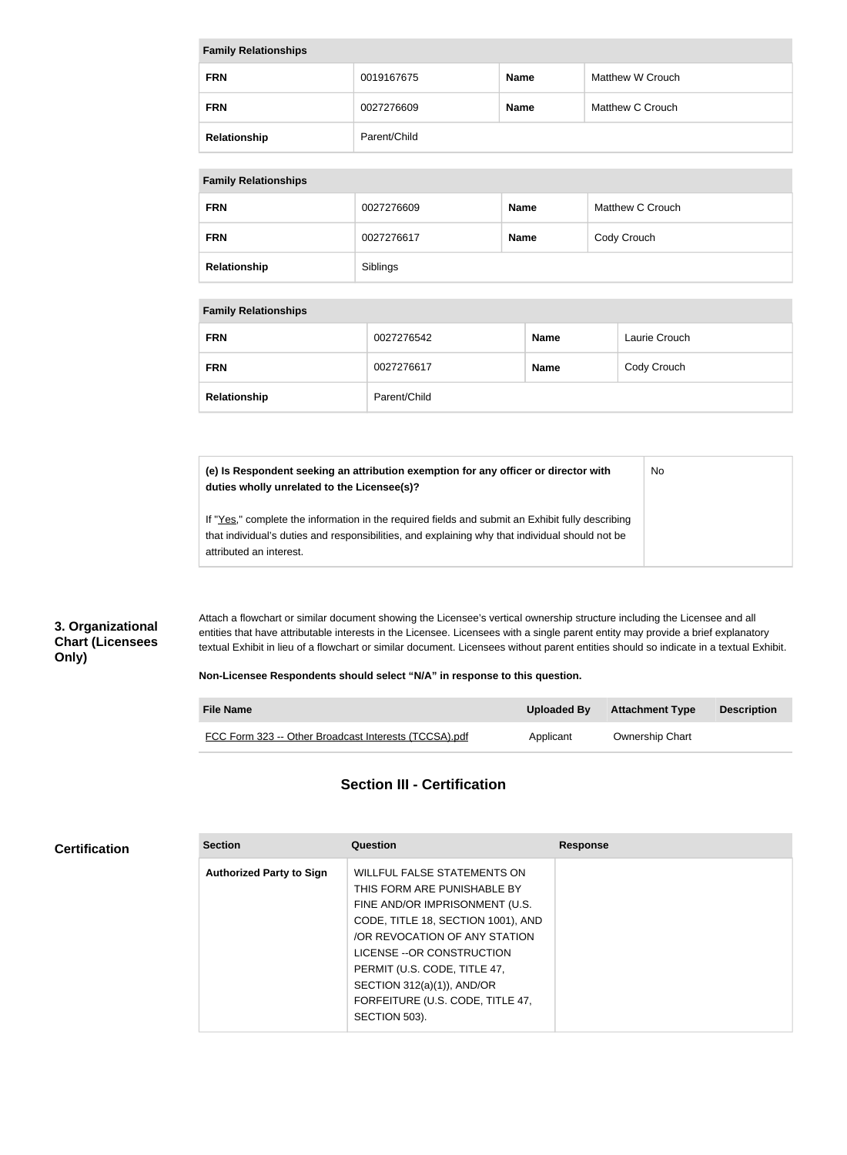| <b>Family Relationships</b> |              |             |                  |
|-----------------------------|--------------|-------------|------------------|
| <b>FRN</b>                  | 0019167675   | <b>Name</b> | Matthew W Crouch |
| <b>FRN</b>                  | 0027276609   | <b>Name</b> | Matthew C Crouch |
| Relationship                | Parent/Child |             |                  |

#### **Family Relationships**

| <b>FRN</b>   | 0027276609 | <b>Name</b> | Matthew C Crouch |
|--------------|------------|-------------|------------------|
| <b>FRN</b>   | 0027276617 | <b>Name</b> | Cody Crouch      |
| Relationship | Siblings   |             |                  |

#### **Family Relationships**

| <b>FRN</b>   | 0027276542   | <b>Name</b> | Laurie Crouch |
|--------------|--------------|-------------|---------------|
| <b>FRN</b>   | 0027276617   | <b>Name</b> | Cody Crouch   |
| Relationship | Parent/Child |             |               |

**(e) Is Respondent seeking an attribution exemption for any officer or director with duties wholly unrelated to the Licensee(s)?** No

If "Yes," complete the information in the required fields and submit an Exhibit fully describing that individual's duties and responsibilities, and explaining why that individual should not be attributed an interest.

### **3. Organizational Chart (Licensees Only)**

**Certification**

Attach a flowchart or similar document showing the Licensee's vertical ownership structure including the Licensee and all entities that have attributable interests in the Licensee. Licensees with a single parent entity may provide a brief explanatory textual Exhibit in lieu of a flowchart or similar document. Licensees without parent entities should so indicate in a textual Exhibit.

#### **Non-Licensee Respondents should select "N/A" in response to this question.**

| <b>File Name</b>                                      | Uploaded By | <b>Attachment Type</b> | <b>Description</b> |
|-------------------------------------------------------|-------------|------------------------|--------------------|
| FCC Form 323 -- Other Broadcast Interests (TCCSA).pdf | Applicant   | <b>Ownership Chart</b> |                    |

#### **Section III - Certification**

| <b>Section</b>                  | Question                           | <b>Response</b> |
|---------------------------------|------------------------------------|-----------------|
| <b>Authorized Party to Sign</b> | <b>WILLFUL FALSE STATEMENTS ON</b> |                 |
|                                 | THIS FORM ARE PUNISHABLE BY        |                 |
|                                 | FINE AND/OR IMPRISONMENT (U.S.     |                 |
|                                 | CODE, TITLE 18, SECTION 1001), AND |                 |
|                                 | OR REVOCATION OF ANY STATION       |                 |
|                                 | LICENSE -- OR CONSTRUCTION         |                 |
|                                 | PERMIT (U.S. CODE, TITLE 47,       |                 |
|                                 | SECTION $312(a)(1)$ ), AND/OR      |                 |
|                                 | FORFEITURE (U.S. CODE, TITLE 47,   |                 |
|                                 | SECTION 503).                      |                 |
|                                 |                                    |                 |